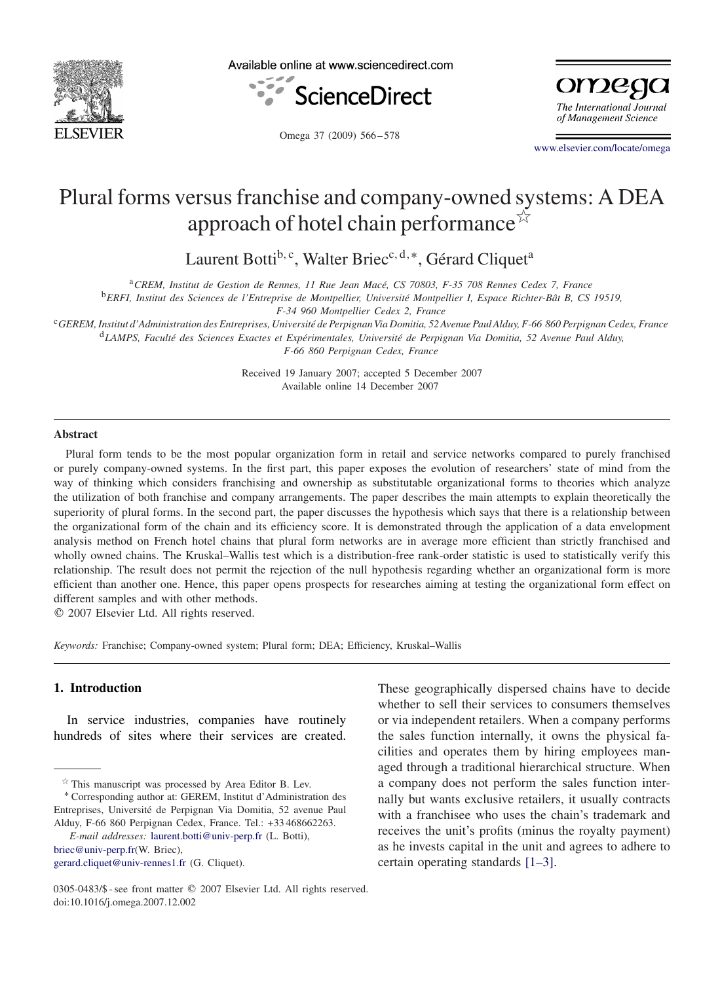

Available online at www.sciencedirect.com



omego The International Journal of Management Science

Omega 37 (2009) 566 – 578

[www.elsevier.com/locate/omega](http://www.elsevier.com/locate/omega)

# Plural forms versus franchise and company-owned systems: A DEA approach of hotel chain performance  $\check{\lambda}$

Laurent Botti<sup>b, c</sup>, Walter Briec<sup>c, d,∗</sup>, Gérard Cliquet<sup>a</sup>

<sup>a</sup>*CREM, Institut de Gestion de Rennes, 11 Rue Jean Macé, CS 70803, F-35 708 Rennes Cedex 7, France*

<sup>b</sup>*ERFI, Institut des Sciences de l'Entreprise de Montpellier, Université Montpellier I, Espace Richter-Bât B, CS 19519,*

*F-34 960 Montpellier Cedex 2, France*

<sup>c</sup>*GEREM, Institut d'Administration des Entreprises, Université de Perpignan Via Domitia, 52 Avenue Paul Alduy, F-66 860 Perpignan Cedex, France* <sup>d</sup>*LAMPS, Faculté des Sciences Exactes et Expérimentales, Université de Perpignan Via Domitia, 52 Avenue Paul Alduy, F-66 860 Perpignan Cedex, France*

> Received 19 January 2007; accepted 5 December 2007 Available online 14 December 2007

#### **Abstract**

Plural form tends to be the most popular organization form in retail and service networks compared to purely franchised or purely company-owned systems. In the first part, this paper exposes the evolution of researchers' state of mind from the way of thinking which considers franchising and ownership as substitutable organizational forms to theories which analyze the utilization of both franchise and company arrangements. The paper describes the main attempts to explain theoretically the superiority of plural forms. In the second part, the paper discusses the hypothesis which says that there is a relationship between the organizational form of the chain and its efficiency score. It is demonstrated through the application of a data envelopment analysis method on French hotel chains that plural form networks are in average more efficient than strictly franchised and wholly owned chains. The Kruskal–Wallis test which is a distribution-free rank-order statistic is used to statistically verify this relationship. The result does not permit the rejection of the null hypothesis regarding whether an organizational form is more efficient than another one. Hence, this paper opens prospects for researches aiming at testing the organizational form effect on different samples and with other methods.

2007 Elsevier Ltd. All rights reserved.

*Keywords:* Franchise; Company-owned system; Plural form; DEA; Efficiency, Kruskal–Wallis

## **1. Introduction**

In service industries, companies have routinely hundreds of sites where their services are created.

<sup>∗</sup> Corresponding author at: GEREM, Institut d'Administration des Entreprises, Université de Perpignan Via Domitia, 52 avenue Paul Alduy, F-66 860 Perpignan Cedex, France. Tel.: +33 468662263.

*E-mail addresses:* [laurent.botti@univ-perp.fr](mailto:laurent.botti@univ-perp.fr) (L. Botti), [briec@univ-perp.fr\(](mailto:briec@univ-perp.fr)W. Briec), [gerard.cliquet@univ-rennes1.fr](mailto:gerard.cliquet@univ-rennes1.fr) (G. Cliquet).

These geographically dispersed chains have to decide whether to sell their services to consumers themselves or via independent retailers. When a company performs the sales function internally, it owns the physical facilities and operates them by hiring employees managed through a traditional hierarchical structure. When a company does not perform the sales function internally but wants exclusive retailers, it usually contracts with a franchisee who uses the chain's trademark and receives the unit's profits (minus the royalty payment) as he invests capital in the unit and agrees to adhere to certain operating standards [1–3].

 $*$  This manuscript was processed by Area Editor B. Lev.

<sup>0305-0483/\$ -</sup> see front matter © 2007 Elsevier Ltd. All rights reserved. doi:10.1016/j.omega.2007.12.002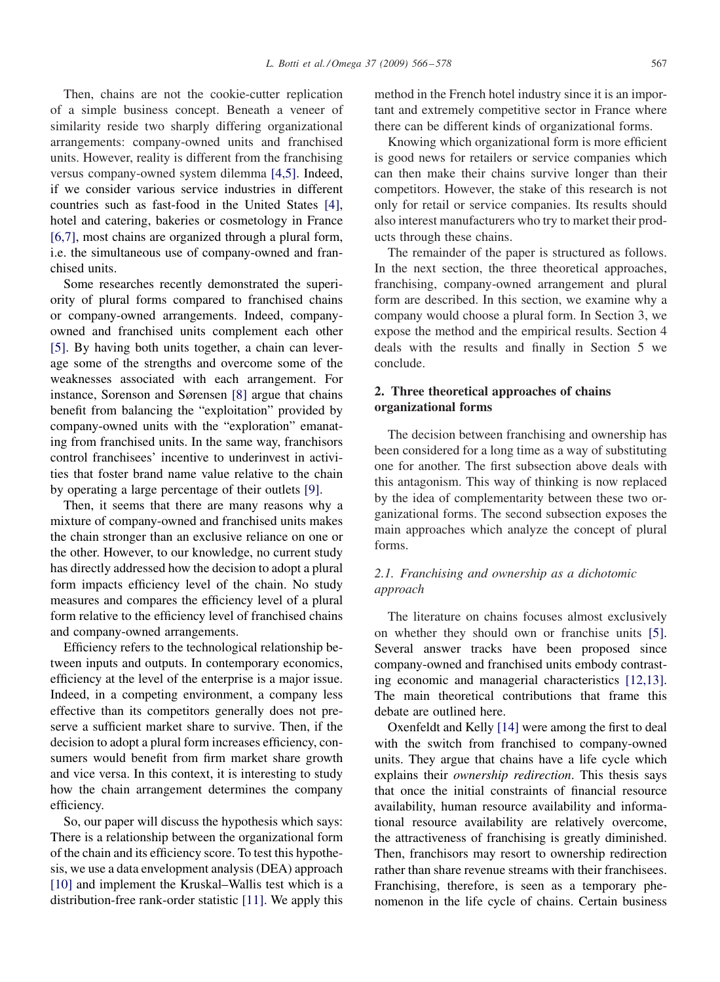Then, chains are not the cookie-cutter replication of a simple business concept. Beneath a veneer of similarity reside two sharply differing organizational arrangements: company-owned units and franchised units. However, reality is different from the franchising versus company-owned system dilemma [4,5]. Indeed, if we consider various service industries in different countries such as fast-food in the United States [\[4\],](#page--1-0) hotel and catering, bakeries or cosmetology in France [6,7], most chains are organized through a plural form, i.e. the simultaneous use of company-owned and franchised units.

Some researches recently demonstrated the superiority of plural forms compared to franchised chains or company-owned arrangements. Indeed, companyowned and franchised units complement each other [\[5\].](#page--1-0) By having both units together, a chain can leverage some of the strengths and overcome some of the weaknesses associated with each arrangement. For instance, Sorenson and Sørensen [\[8\]](#page--1-0) argue that chains benefit from balancing the "exploitation" provided by company-owned units with the "exploration" emanating from franchised units. In the same way, franchisors control franchisees' incentive to underinvest in activities that foster brand name value relative to the chain by operating a large percentage of their outlets [\[9\].](#page--1-0)

Then, it seems that there are many reasons why a mixture of company-owned and franchised units makes the chain stronger than an exclusive reliance on one or the other. However, to our knowledge, no current study has directly addressed how the decision to adopt a plural form impacts efficiency level of the chain. No study measures and compares the efficiency level of a plural form relative to the efficiency level of franchised chains and company-owned arrangements.

Efficiency refers to the technological relationship between inputs and outputs. In contemporary economics, efficiency at the level of the enterprise is a major issue. Indeed, in a competing environment, a company less effective than its competitors generally does not preserve a sufficient market share to survive. Then, if the decision to adopt a plural form increases efficiency, consumers would benefit from firm market share growth and vice versa. In this context, it is interesting to study how the chain arrangement determines the company efficiency.

So, our paper will discuss the hypothesis which says: There is a relationship between the organizational form of the chain and its efficiency score. To test this hypothesis, we use a data envelopment analysis (DEA) approach [\[10\]](#page--1-0) and implement the Kruskal–Wallis test which is a distribution-free rank-order statistic [\[11\].](#page--1-0) We apply this method in the French hotel industry since it is an important and extremely competitive sector in France where there can be different kinds of organizational forms.

Knowing which organizational form is more efficient is good news for retailers or service companies which can then make their chains survive longer than their competitors. However, the stake of this research is not only for retail or service companies. Its results should also interest manufacturers who try to market their products through these chains.

The remainder of the paper is structured as follows. In the next section, the three theoretical approaches, franchising, company-owned arrangement and plural form are described. In this section, we examine why a company would choose a plural form. In Section 3, we expose the method and the empirical results. Section 4 deals with the results and finally in Section 5 we conclude.

### **2. Three theoretical approaches of chains organizational forms**

The decision between franchising and ownership has been considered for a long time as a way of substituting one for another. The first subsection above deals with this antagonism. This way of thinking is now replaced by the idea of complementarity between these two organizational forms. The second subsection exposes the main approaches which analyze the concept of plural forms.

### *2.1. Franchising and ownership as a dichotomic approach*

The literature on chains focuses almost exclusively on whether they should own or franchise units [\[5\].](#page--1-0) Several answer tracks have been proposed since company-owned and franchised units embody contrasting economic and managerial characteristics [12,13]. The main theoretical contributions that frame this debate are outlined here.

Oxenfeldt and Kelly [\[14\]](#page--1-0) were among the first to deal with the switch from franchised to company-owned units. They argue that chains have a life cycle which explains their *ownership redirection*. This thesis says that once the initial constraints of financial resource availability, human resource availability and informational resource availability are relatively overcome, the attractiveness of franchising is greatly diminished. Then, franchisors may resort to ownership redirection rather than share revenue streams with their franchisees. Franchising, therefore, is seen as a temporary phenomenon in the life cycle of chains. Certain business